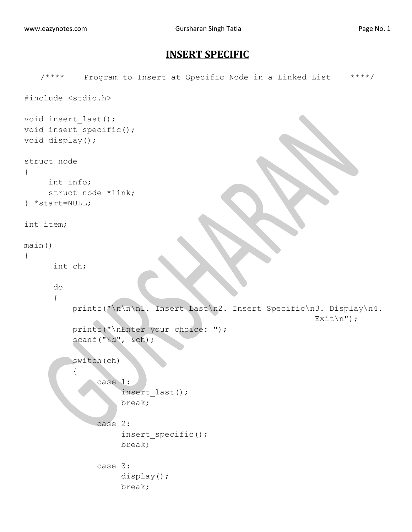## **INSERT SPECIFIC**

```
/**** Program to Insert at Specific Node in a Linked List ****/
#include <stdio.h>
void insert_last();
void insert specific();
void display();
struct node
{
     int info;
     struct node *link;
} *start=NULL;
int item;
main()
{
       int ch;
       do
       {
           printf("\n\n\n1. Insert Last\n2. Insert Specific\n3. Display\n4.
                                                               Exit\);
           printf("\nEnter your choice: ");
           scanf("%d", &ch);
           switch(ch)
\overline{a} case 1:
                      insert_last();
                      break;
                 case 2:
                      insert_specific();
                      break;
                 case 3:
                      display();
                     break;
```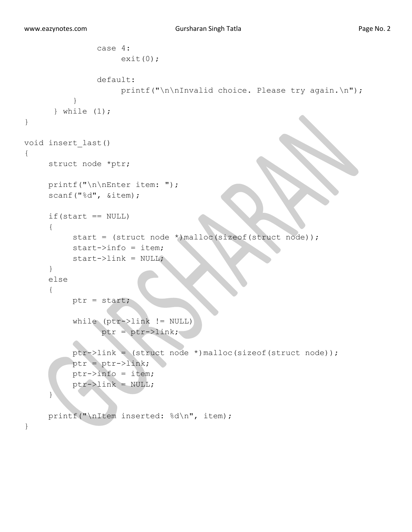```
 case 4:
                    exit(0); default:
                    printf("\n\nInvalid choice. Please try again.\n");
 }
       } while (1);
} 
void insert_last()
{
     struct node *ptr;
     printf("\n\nEnter item: ");
     scanf("%d", &item);
     if(start == NULL){
          start = (struct node *)malloc(sizeof(struct node));
          start->info = item;
          start->link = NULL;
     }
     else
     {
          ptr = start;
           while (ptr->link != NULL)
                ptr = ptr - 2link; ptr->link = (struct node *)malloc(sizeof(struct node));
           ptr = ptr->link;
          ptr->info = item;
          ptr->link = NULL;
     }
     printf("\nItem inserted: %d\n", item);
}
```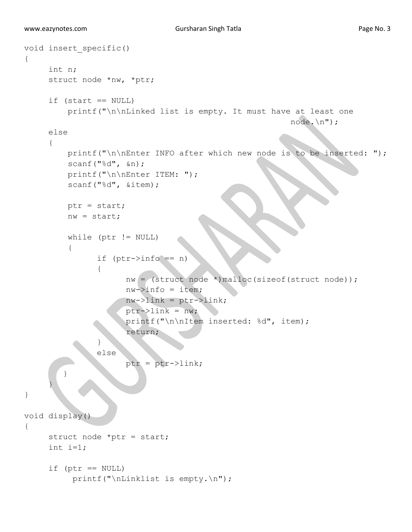```
void insert_specific()
{
      int n;
      struct node *nw, *ptr;
     if (start == NULL)
          printf("\n\nLinked list is empty. It must have at least one
                                                           node.\n");
      else
      {
         printf("\n\nEnter INFO after which new node is to be inserted: ");
          scanf("%d", &n);
          printf("\n\nEnter ITEM: ");
          scanf("%d", &item);
          ptr = start;
          nw = start;
          while (ptr != NULL)
\{if (ptr->info == n) {
                      nw = (struct node * )malloc(sizeof(struct node));
                      nw \rightarrow \text{info} = \text{item};nw->link =ptr->link; ptr->link = nw;
                      printf("\n\nItem inserted: %d", item);
                        return;
}
                 else
                      ptr =ptr->link;\left\{\begin{array}{c}1\\1\end{array}\right\} }
}
void display()
{
     struct node *ptr = start;
     int i=1;
     if (ptr == NULL)
          printf("\nLinklist is empty.\n");
```